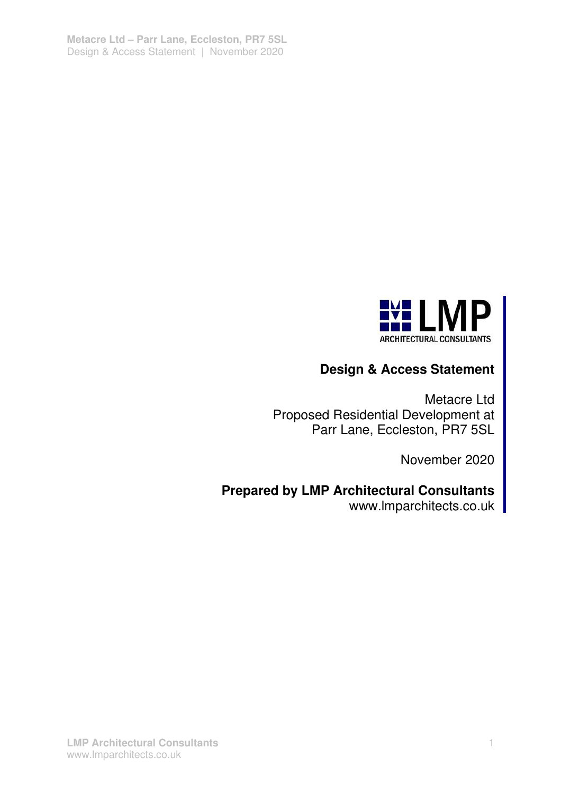

# **Design & Access Statement**

Metacre Ltd Proposed Residential Development at Parr Lane, Eccleston, PR7 5SL

November 2020

# **Prepared by LMP Architectural Consultants**

www.Imparchitects.co.uk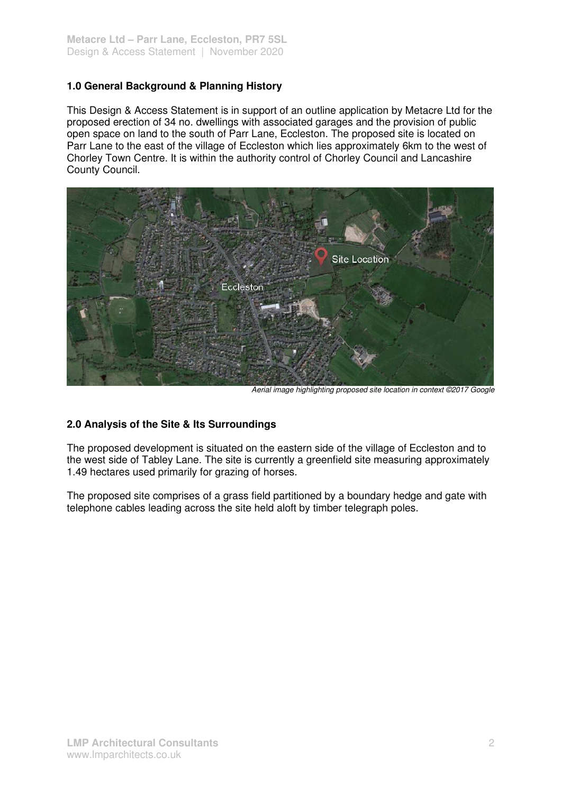## **1.0 General Background & Planning History**

This Design & Access Statement is in support of an outline application by Metacre Ltd for the proposed erection of 34 no. dwellings with associated garages and the provision of public open space on land to the south of Parr Lane, Eccleston. The proposed site is located on Parr Lane to the east of the village of Eccleston which lies approximately 6km to the west of Chorley Town Centre. It is within the authority control of Chorley Council and Lancashire County Council.



Aerial image highlighting proposed site location in context ©2017 Google

## **2.0 Analysis of the Site & Its Surroundings**

The proposed development is situated on the eastern side of the village of Eccleston and to the west side of Tabley Lane. The site is currently a greenfield site measuring approximately 1.49 hectares used primarily for grazing of horses.

The proposed site comprises of a grass field partitioned by a boundary hedge and gate with telephone cables leading across the site held aloft by timber telegraph poles.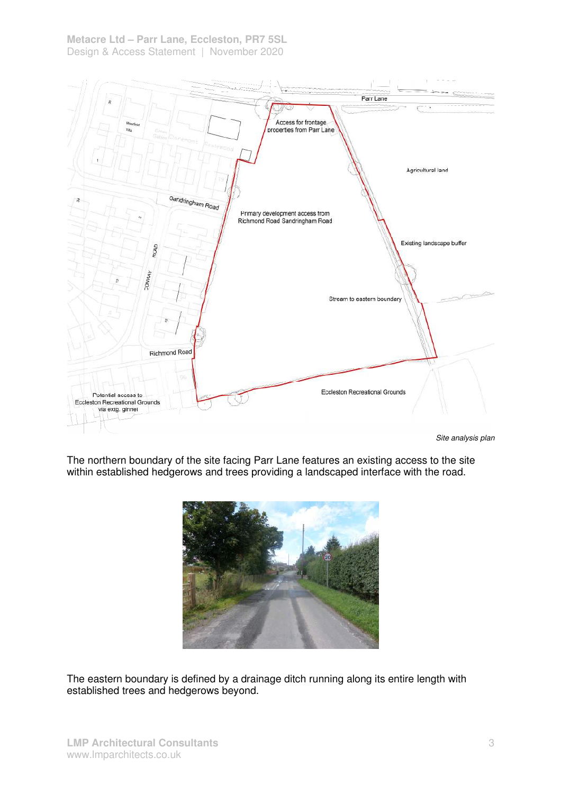

Site analysis plan

The northern boundary of the site facing Parr Lane features an existing access to the site within established hedgerows and trees providing a landscaped interface with the road.



The eastern boundary is defined by a drainage ditch running along its entire length with established trees and hedgerows beyond.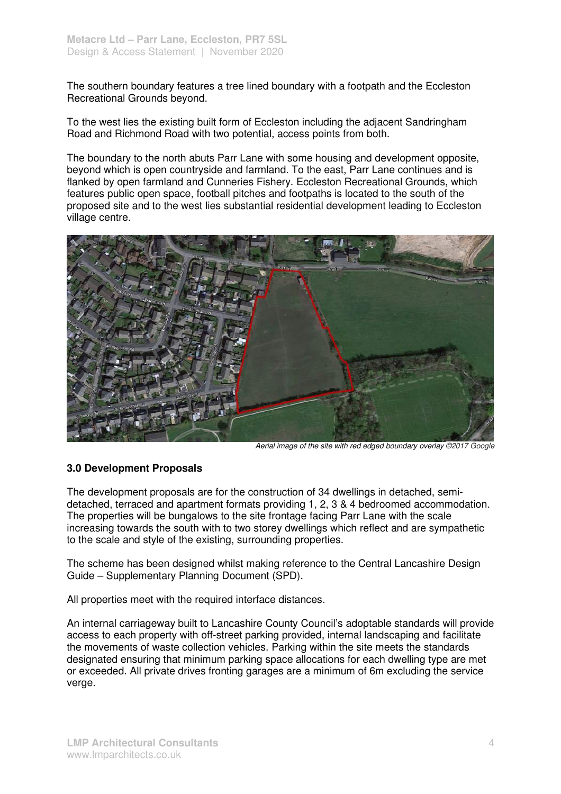The southern boundary features a tree lined boundary with a footpath and the Eccleston Recreational Grounds beyond.

To the west lies the existing built form of Eccleston including the adjacent Sandringham Road and Richmond Road with two potential, access points from both.

The boundary to the north abuts Parr Lane with some housing and development opposite, beyond which is open countryside and farmland. To the east, Parr Lane continues and is flanked by open farmland and Cunneries Fishery. Eccleston Recreational Grounds, which features public open space, football pitches and footpaths is located to the south of the proposed site and to the west lies substantial residential development leading to Eccleston village centre.



Aerial image of the site with red edged boundary overlay ©2017 Google

#### **3.0 Development Proposals**

The development proposals are for the construction of 34 dwellings in detached, semidetached, terraced and apartment formats providing 1, 2, 3 & 4 bedroomed accommodation. The properties will be bungalows to the site frontage facing Parr Lane with the scale increasing towards the south with to two storey dwellings which reflect and are sympathetic to the scale and style of the existing, surrounding properties.

The scheme has been designed whilst making reference to the Central Lancashire Design Guide – Supplementary Planning Document (SPD).

All properties meet with the required interface distances.

An internal carriageway built to Lancashire County Council's adoptable standards will provide access to each property with off-street parking provided, internal landscaping and facilitate the movements of waste collection vehicles. Parking within the site meets the standards designated ensuring that minimum parking space allocations for each dwelling type are met or exceeded. All private drives fronting garages are a minimum of 6m excluding the service verge.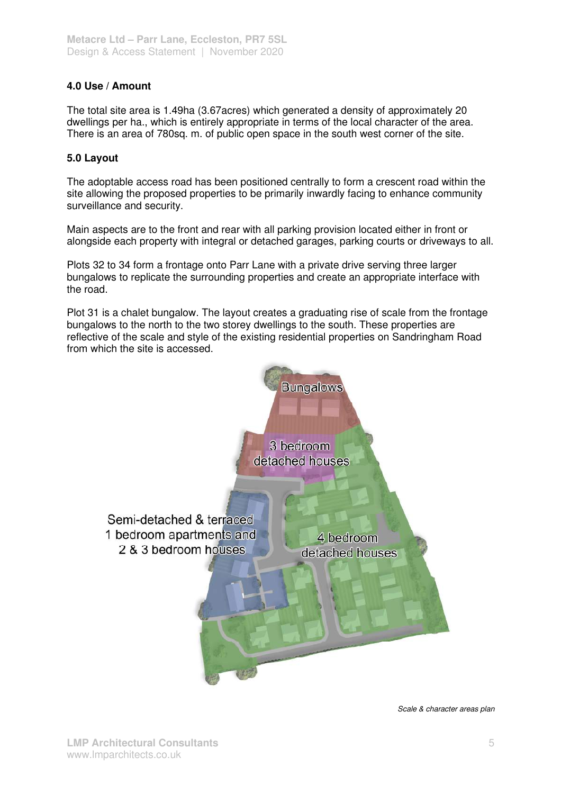## **4.0 Use / Amount**

The total site area is 1.49ha (3.67acres) which generated a density of approximately 20 dwellings per ha., which is entirely appropriate in terms of the local character of the area. There is an area of 780sq. m. of public open space in the south west corner of the site.

### **5.0 Layout**

The adoptable access road has been positioned centrally to form a crescent road within the site allowing the proposed properties to be primarily inwardly facing to enhance community surveillance and security.

Main aspects are to the front and rear with all parking provision located either in front or alongside each property with integral or detached garages, parking courts or driveways to all.

Plots 32 to 34 form a frontage onto Parr Lane with a private drive serving three larger bungalows to replicate the surrounding properties and create an appropriate interface with the road.

Plot 31 is a chalet bungalow. The layout creates a graduating rise of scale from the frontage bungalows to the north to the two storey dwellings to the south. These properties are reflective of the scale and style of the existing residential properties on Sandringham Road from which the site is accessed.



Scale & character areas plan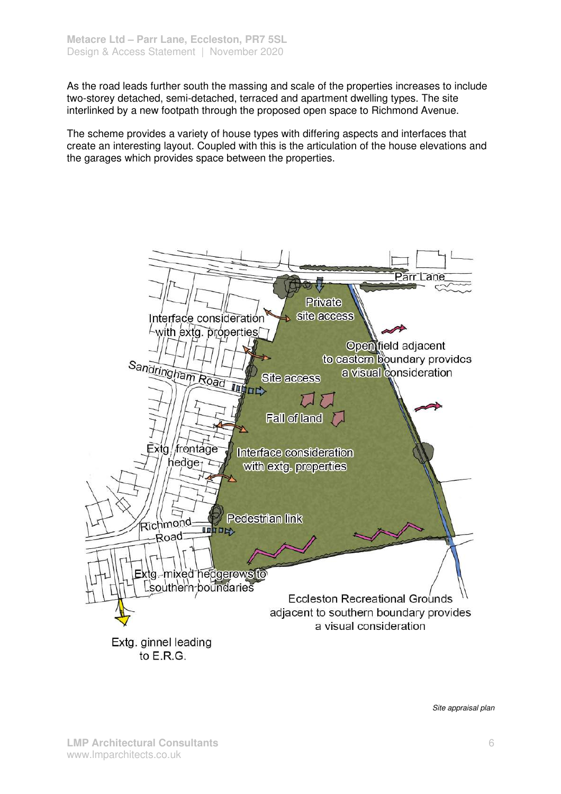As the road leads further south the massing and scale of the properties increases to include two-storey detached, semi-detached, terraced and apartment dwelling types. The site interlinked by a new footpath through the proposed open space to Richmond Avenue.

The scheme provides a variety of house types with differing aspects and interfaces that create an interesting layout. Coupled with this is the articulation of the house elevations and the garages which provides space between the properties.



Site appraisal plan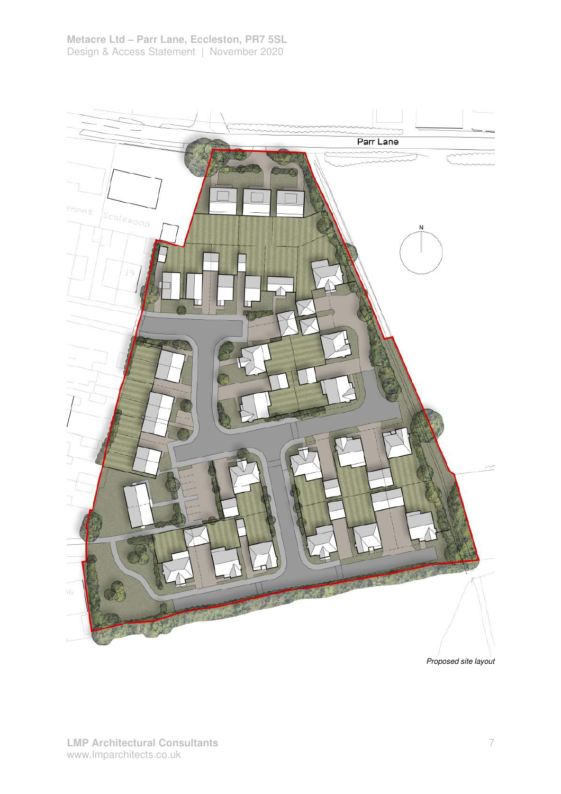

Proposed site layout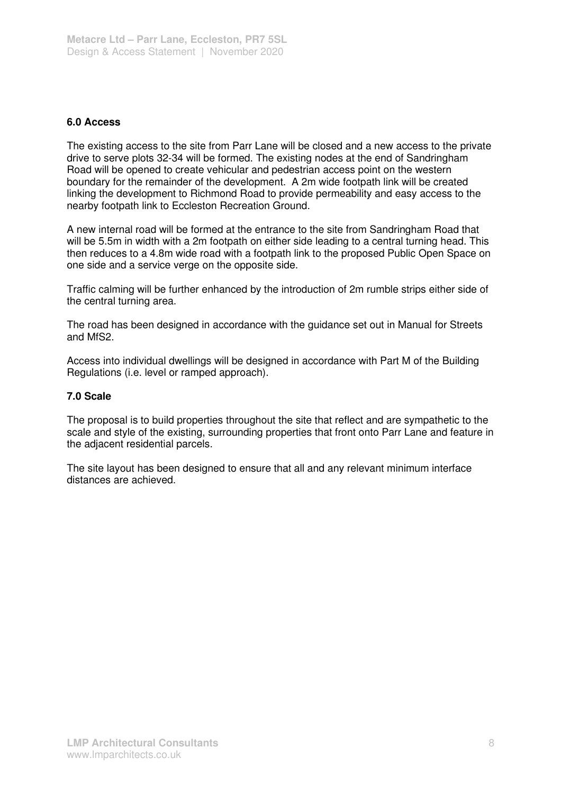### **6.0 Access**

The existing access to the site from Parr Lane will be closed and a new access to the private drive to serve plots 32-34 will be formed. The existing nodes at the end of Sandringham Road will be opened to create vehicular and pedestrian access point on the western boundary for the remainder of the development. A 2m wide footpath link will be created linking the development to Richmond Road to provide permeability and easy access to the nearby footpath link to Eccleston Recreation Ground.

A new internal road will be formed at the entrance to the site from Sandringham Road that will be 5.5m in width with a 2m footpath on either side leading to a central turning head. This then reduces to a 4.8m wide road with a footpath link to the proposed Public Open Space on one side and a service verge on the opposite side.

Traffic calming will be further enhanced by the introduction of 2m rumble strips either side of the central turning area.

The road has been designed in accordance with the guidance set out in Manual for Streets and MfS2.

Access into individual dwellings will be designed in accordance with Part M of the Building Regulations (i.e. level or ramped approach).

#### **7.0 Scale**

The proposal is to build properties throughout the site that reflect and are sympathetic to the scale and style of the existing, surrounding properties that front onto Parr Lane and feature in the adjacent residential parcels.

The site layout has been designed to ensure that all and any relevant minimum interface distances are achieved.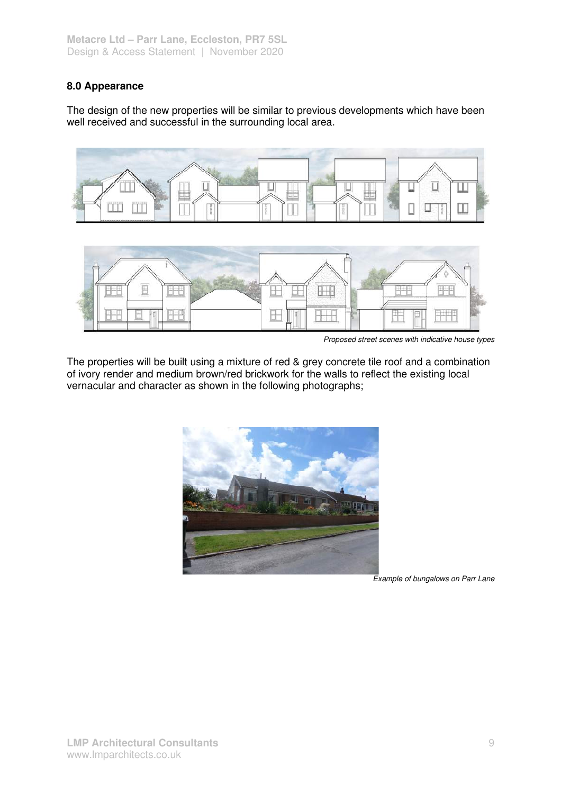## **8.0 Appearance**

The design of the new properties will be similar to previous developments which have been well received and successful in the surrounding local area.





Proposed street scenes with indicative house types

The properties will be built using a mixture of red & grey concrete tile roof and a combination of ivory render and medium brown/red brickwork for the walls to reflect the existing local vernacular and character as shown in the following photographs;



Example of bungalows on Parr Lane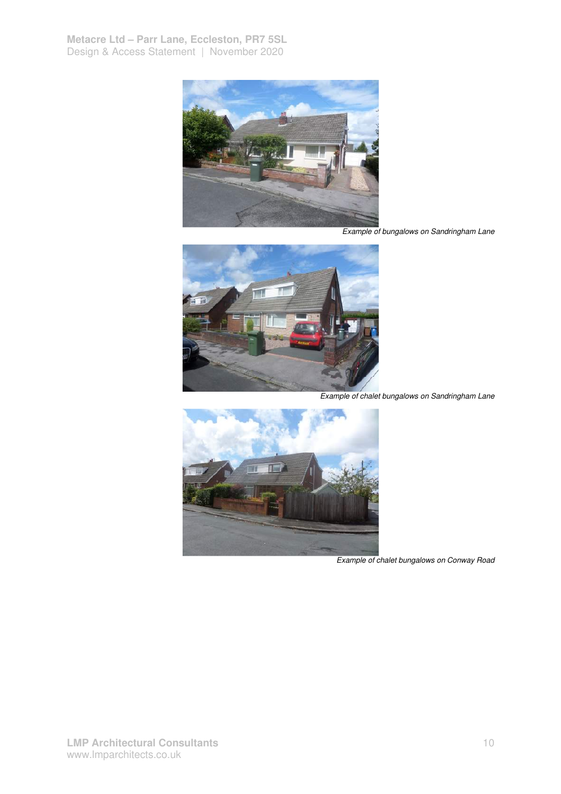

Example of bungalows on Sandringham Lane



Example of chalet bungalows on Sandringham Lane



Example of chalet bungalows on Conway Road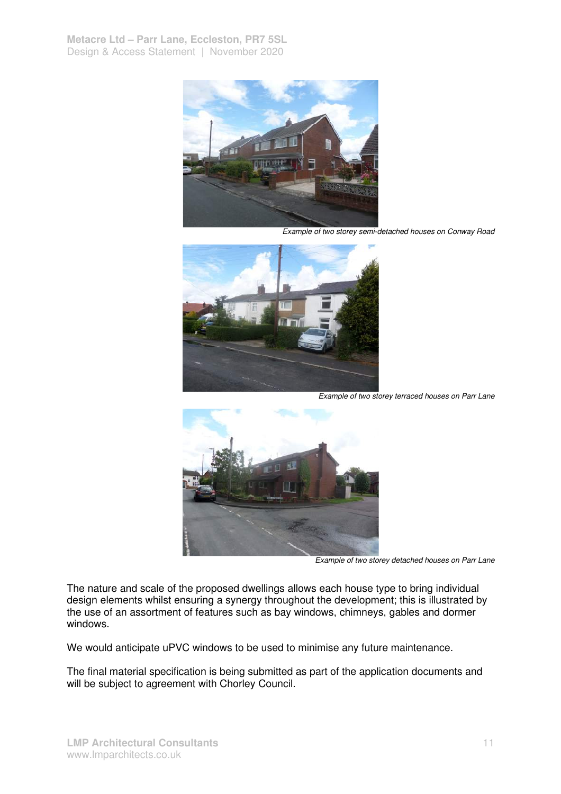

Example of two storey semi-detached houses on Conway Road



Example of two storey terraced houses on Parr Lane



Example of two storey detached houses on Parr Lane

The nature and scale of the proposed dwellings allows each house type to bring individual design elements whilst ensuring a synergy throughout the development; this is illustrated by the use of an assortment of features such as bay windows, chimneys, gables and dormer windows.

We would anticipate uPVC windows to be used to minimise any future maintenance.

The final material specification is being submitted as part of the application documents and will be subject to agreement with Chorley Council.